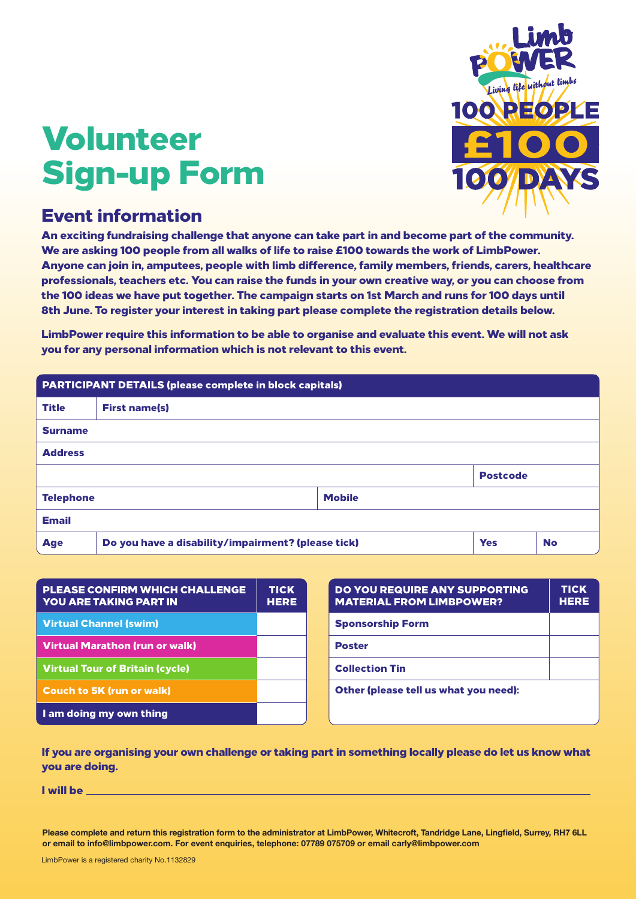# Volunteer Sign-up Form



### Event information

An exciting fundraising challenge that anyone can take part in and become part of the community. We are asking 100 people from all walks of life to raise £100 towards the work of LimbPower. Anyone can join in, amputees, people with limb difference, family members, friends, carers, healthcare professionals, teachers etc. You can raise the funds in your own creative way, or you can choose from the 100 ideas we have put together. The campaign starts on 1st March and runs for 100 days until 8th June. To register your interest in taking part please complete the registration details below.

LimbPower require this information to be able to organise and evaluate this event. We will not ask you for any personal information which is not relevant to this event.

| <b>PARTICIPANT DETAILS (please complete in block capitals)</b> |                                                    |               |                 |           |  |
|----------------------------------------------------------------|----------------------------------------------------|---------------|-----------------|-----------|--|
| <b>Title</b>                                                   | <b>First name(s)</b>                               |               |                 |           |  |
| <b>Surname</b>                                                 |                                                    |               |                 |           |  |
| <b>Address</b>                                                 |                                                    |               |                 |           |  |
|                                                                |                                                    |               | <b>Postcode</b> |           |  |
| <b>Telephone</b>                                               |                                                    | <b>Mobile</b> |                 |           |  |
| <b>Email</b>                                                   |                                                    |               |                 |           |  |
| <b>Age</b>                                                     | Do you have a disability/impairment? (please tick) |               | <b>Yes</b>      | <b>No</b> |  |

| <b>PLEASE CONFIRM WHICH CHALLENGE</b><br><b>YOU ARE TAKING PART IN</b> | <b>TICK</b><br><b>HERE</b> |
|------------------------------------------------------------------------|----------------------------|
| Virtual Channel (swim)                                                 |                            |
| <b>Virtual Marathon (run or walk)</b>                                  |                            |
| <b>Virtual Tour of Britain (cycle)</b>                                 |                            |
| <b>Couch to 5K (run or walk)</b>                                       |                            |
| I am doing my own thing                                                |                            |

| DO YOU REQUIRE ANY SUPPORTING<br><b>MATERIAL FROM LIMBPOWER?</b> | <b>TICK</b><br><b>HERE</b> |  |
|------------------------------------------------------------------|----------------------------|--|
| <b>Sponsorship Form</b>                                          |                            |  |
| <b>Poster</b>                                                    |                            |  |
| <b>Collection Tin</b>                                            |                            |  |
| Other (please tell us what you need):                            |                            |  |

If you are organising your own challenge or taking part in something locally please do let us know what you are doing.

I will be

**Please complete and return this registration form to the administrator at LimbPower, Whitecroft, Tandridge Lane, Lingfield, Surrey, RH7 6LL or email to info@limbpower.com. For event enquiries, telephone: 07789 075709 or email carly@limbpower.com**